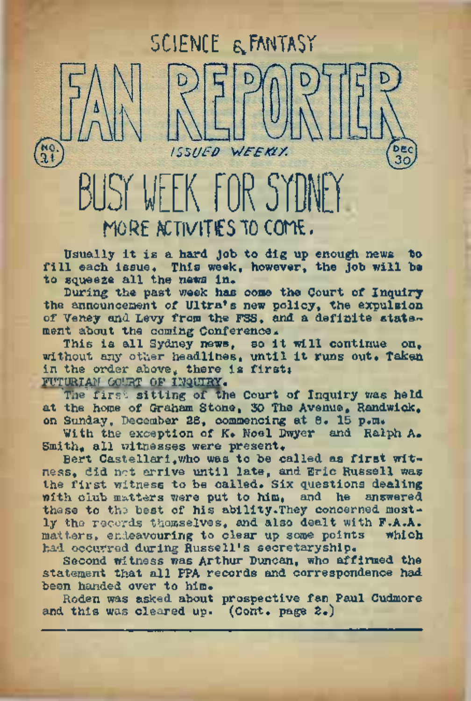# FK FOR 5 MORE ACTIVITIES IO COME.

 $1551$ <sub>I</sub>ED

Usually it is a hard Job to dig up enough news "bo fill each issue. This week, however, the job will be to squeeze all the news in.

SCIENCE & FANTASY

WEEKLY.

During the past week has come the Court of Inquiry the announcement of Ultra's new policy, the expulsion of Veney and Levy from the FSS, and a definite statement about the coming Conference.

This is all Sydney news, so it will continue on, without any other headlines, until it runs out. Taken in the order above, there is first: FUTURIAN GOURT OF INQUIRY.

The first sitting of the Court of Inquiry was held at the home of Graham Stone, 30 The Avenue, Randwick, on Sunday, December 28, commencing at 8. 15 p.m.

With the exception of K. Noel Dwyer and Ralph A. Smith, all witnesses were present.

Bert Castellari,who was to be called as first witness, did not arrive until late, and Eric Russell was the first witness to be called. Six questions dealing with club matters were put to him, and he answered these to the best of his ability. They concerned mostly the records themselves, and also dealt with F.A.A. matters, endeavouring to clear up some points had occurred during Russell's secretaryship.

Second witness was Arthur Duncan, who affirmed the statement that all PPA records and correspondence had been handed over to him.

Roden was asked about prospective fan Paul Cudmore and this was cleared up. (Cont. page 2.)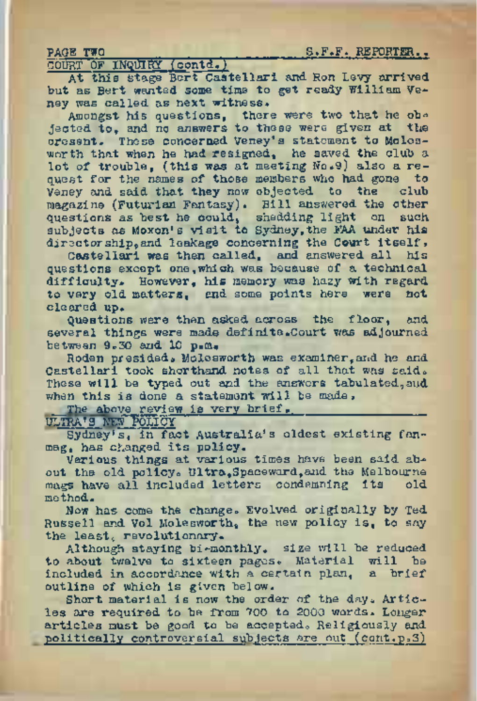PAGE TWO ZARACH TWO S.F.F. REPORTER.

COURT OF INQUIRY (contd.) ~

At this stage Bert Castellari and. Ron Levy arrived but as Bert wanted, some time to get ready William Veney was called as next witness.

Amongst his questions, there were two that he ob-<br>jected to, and no answers to these were given at the oresent. These concerned Veney's statement to Molesworth that when he had resigned, he saved the club a lot of trouble, (this was at meeting No.9) also a request for the names of those members who had gone to where the ship Veney and said that they now objected to the magazine (Futurian Fantasy). Bill answered the other questions as best he could, shedding light on such subjects as Moxon's visit to Sydney, the FAA under his directorship, and leakage concerning the Court itself.

Castellari was then called, and answered all his questions except one,which was because of a technical difficulty. However, his memory was hazy with regard<br>to yery old metters, and some points here, were, not to very old matters, and some points here were cleared up.

Questions were then asked across the floor, and several things were made definite.Court was adjourned between 9.30 and 10 p.m.

Roden presided, Molesworth was examiner, and he and Castellari took shorthand notes of all that was said. These will be typed out and the answers tabulated, and when this is done a statement will be made.

The above review is very brief.

ULTRA'S NEW POLICY

Sydney's, in fact Australia's oldest existing fanmag, has changed its policy.

Various things at various times have been said about the old policy. Ultra, Spaceward, and the Melbourne mass have all included letters condemning its old mags have all included letters condemning its method.

Now has come the change. Evolved originally by Ted Russell and Vol Molesworth, the new policy is, to say the least, revolutionary.

Although staying bi-monthly. size will be reduced to about twelve to sixteen pages. Material will be included in accordance with a certain plan, a brief outline of which is given below.

Short material is now the order of the day. Articles are required to be from 700 to 2000 words. Longer articles must be good to be accepted. Religiously and politically controversial subjects are out (cont.p.3)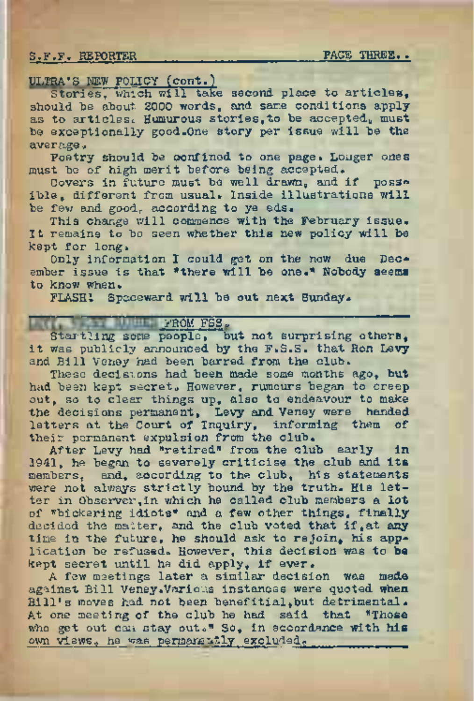S.F.F. REPORTER\_\_\_\_\_\_\_\_\_\_\_\_\_\_\_\_\_\_\_\_\_\_\_\_\_\_\_\_\_ PASS THREE. .

### ULTRA'S HEW POLICY (cont.)

Stories, which will take second place to articles. should be about 2000 words, and same conditions apply as to articles. Humurous stories, to be accepted, must be exceptionally good.One story per issue will be the average.

Poetry should be confined to one page. Longer ones must be of high merit before being accepted.

Covers in future must be well drawn, and if poss» ible, different from usual. Inside illustrations will be few and good, according to ye eds.

This change will commence with the February issue. It remains to be seen whether this new policy will be kept for long.

Only information I could get on the now due December issue is that \*there will be one.\* Nobody seems to know when.

FLASH! Spaceward will be out next Sunday.

## FROM FSS.

Startling some people, but not surprising others. it was publicly announced by the F.S.S. that Ron Levy and Bill Veney had been barred from the club.

These decisions had been made some months ago, but had been kept secret» However, rumours began to creep out, so to clear things up, also to endeavour to make the decisions permanent, Levy and Veney were handed letters at the Court of Inquiry, informing them of their permanent expulsion from the club.

After Levy had "retired" from the club early in 1941, he began to severely criticise the club and its members, and, according to the club, his statements were not always strictly bound by the truth. His letter in Observer,in which he called club members a lot of "bickering idiots" and a few other things, finally decided the matter, and the club voted that if, at any time in the future, he should ask to rejoin, his application be refused. However, this decision was to be kept secret until he did apply, if ever.

<sup>A</sup> few meetings later a similar decision was made against Bill Veney. Various instances were quoted when Bill's moves had not been benefitial, but detrimental. At one meeting of the club he had said that "Those who get out can stay out." So, in accordance with his own views, he was permanently excluded.